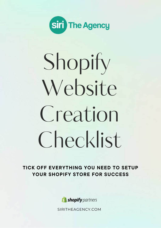

# Shopify Website Creation Checklist

TICK OFF EVERYTHING YOU NEED TO SETUP YOUR SHOPIFY STORE FOR SUCCESS



[SIRITHEAGENCY.COM](https://siritheagency.com/)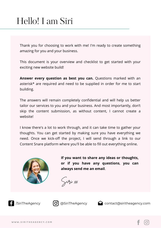## Hello! I am Siri

Thank you for choosing to work with me! I'm ready to create something amazing for you and your business.

This document is your overview and checklist to get started with your exciting new website build!

**Answer every question as best you can.** Questions marked with an asterisk\* are required and need to be supplied in order for me to start building.

The answers will remain completely confidential and will help us better tailor our services to you and your business. And most importantly, don't skip the content submission, as without content, I cannot create a website!

I know there's a lot to work through, and it can take time to gather your thoughts. You can get started by making sure you have everything we need. Once we kick-off the project, I will send through a link to our Content Snare platform where you'll be able to fill out everything online.



**If you want to share any ideas or thoughts, or if you have any [questions](http://www.siritheagency.com/)**, **you can always send me an email**.

Siri xx







[/SiriTheAgency](https://facebook.com/siritheagency) [@SiriTheAgency](https://instagram.com/siritheagency) [contact@siritheagency.com](mailto:contact@siritheagency.com)

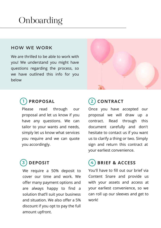## **Onboarding**

#### **HOW WE WORK**

We are thrilled to be able to work with you! We understand you might have questions regarding the process, so we have outlined this info for you below



#### **1 PROPOSAL**

Please read through our proposal and let us know if you have any questions. We can tailor to your wants and needs, simply let us know what services you require and we can quote you accordingly.

## **3 DEPOSIT**

We require a 50% deposit to cover our time and work. We offer many [payment](https://siritheagency.com/payment-options/) options and are always happy to find a solution that'll suit your business and situation. We also offer a 5% discount if you opt to pay the full amount upfront.

#### **2 CONTRACT**

Once you have accepted our proposal we will draw up a contract. Read through this document carefully and don't hesitate to contact us if you want us to clarify a thing or two. Simply sign and return this contract at your earliest convenience.

## **4 BRIEF & ACCESS**

You'll have to fill out our brief via Content Snare and provide us with your assets and access at your earliest convenience, so we can roll up our sleeves and get to work!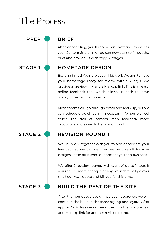## The Process

**STAGE 2**

**STAGE 3**

**STAGE 1**

**PREP BRIEF**

After onboarding, you'll receive an invitation to access your Content Snare link. You can now start to fill out the brief and provide us with copy & images.

#### **HOMEPAGE DESIGN**

Exciting times! Your project will kick-off. We aim to have your homepage ready for review within 7 days. We provide a preview link and a MarkUp link. This is an easy, online feedback tool which allows us both to leave "sticky notes" and comments.

Most comms will go through email and MarkUp, but we can schedule quick calls if necessary if/when we feel stuck. The trail of comms keep feedback more productive and easier to track and tick off.

#### **REVISION ROUND 1**

We will work together with you to and appreciate your feedback so we can get the best end result for your designs - after all, it should represent you as a business.

We offer 2 revision rounds with work of up to 1 hour. If you require more changes or any work that will go over this hour, we'll quote and bill you for this time.

#### **BUILD THE REST OF THE SITE**

After the homepage design has been approved, we will continue the build in the same styling and layout. After approx. 7-14 days we will send through the link preview and MarkUp link for another revision round.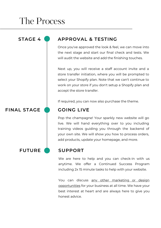## The Process

#### **FINAL STAGE**

#### **STAGE 4 APPROVAL & TESTING**

Once you've approved the look & feel, we can move into the next stage and start our final check and tests. We will audit the website and add the finishing touches.

Next up, you will receive a staff account invite and a store transfer initiation, where you will be prompted to select your Shopify plan. Note that we can't continue to work on your store if you don't setup a Shopify plan and accept the store transfer.

If required, you can now also purchase the theme.

#### **GOING LIVE**

Pop the champagne! Your sparkly new website will go live. We will hand everything over to you including training videos guiding you through the backend of your own site. We will show you how to process orders, add products, update your homepage, and more.

#### **FUTURE SUPPORT**

We are here to help and you can check-in with us anytime. We offer a Continued Success Program including 2x 15 minute tasks to help with your website.

You can discuss any other marketing or design [opportunities](https://siritheagency.com/services/) for your business at all time. We have your best interest at heart and are always here to give you honest advice.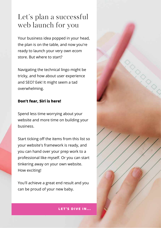## Let' s plan a successful web launch for you

Your business idea popped in your head, the plan is on the table, and now you're ready to launch your very own ecom store. But where to start?

Navigating the technical lingo might be tricky, and how about user experience and SEO? Eek! It might seem a tad overwhelming.

#### **Don't fear, Siri is here!**

Spend less time worrying about your website and more time on building your business.

Start ticking off the items from this list so your website's framework is ready, and you can hand over your prep work to a professional like myself. Or you can start tinkering away on your own website. How exciting!

You'll achieve a great end result and you can be proud of your new baby.



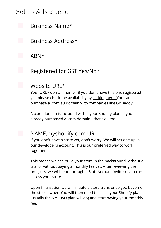Business Name\*

Business Address\*

ABN\*

Registered for GST Yes/No\*

#### Website URL\*

Your URL / domain name - if you don't have this one registered yet, please check the availability by [clicking](https://au.godaddy.com/domains/domain-name-search) here. You can purchase a .com.au domain with companies like GoDaddy.

A .com domain is included within your Shopify plan. If you already purchased a .com domain - that's ok too.

#### NAME.myshopify.com URL

If you don't have a store yet, don't worry! We will set one up in our developer's account. This is our preferred way to work together.

This means we can build your store in the background without a trial or without paying a monthly fee yet. After reviewing the progress, we will send through a Staff Account invite so you can access your store.

Upon finalisation we will initiate a store transfer so you become the store owner. You will then need to select your Shopify plan (usually the \$29 USD plan will do) and start paying your monthly fee.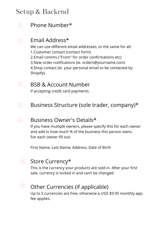

#### Phone Number\*

#### Email Address\*

We can use different email addresses, or the same for all: 1.Customer contact (contact form) 2.Email comms ("From" for order confirmations etc) 3.New order notifications (ie. orders@yourname.com) 4.Shop contact (ie. your personal email to be contacted by Shopify)

#### BSB & Account Number

if accepting credit card payments

#### Business Structure (sole trader, company)\*

#### Business Owner's Details\*

If you have multiple owners, please specify this for each owner and add in how much % of the business this person owns. For each owner fill out:

First Name, Last Name, Address, Date of Birth

#### Store Currency\*

This is the currency your products are sold in. After your first sale, currency is locked in and can't be changed.

#### Other Currencies (if applicable)

Up to 5 currencies are free, otherwise a USD \$9.95 monthly app fee applies.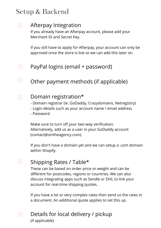

#### Afterpay Integration

If you already have an Afterpay account, please add your Merchant ID and Secret Key.

If you still have to apply for Afterpay, your account can only be approved once the store is live so we can add this later on.

PayPal logins (email + password)

Other payment methods (if applicable)

#### Domain registration\*

- Domain registrar (ie. GoDaddy, Crazydomains, Netregistry)
- Login details such as your account name / email address
- Password

Make sure to turn off your two-way verification. Alternatively, add us as a user in your GoDaddy account (contact@siritheagency.com).

If you don't have a domain yet and we can setup a .com domain within Shopify.

#### Shipping Rates / Table\*

These can be based on order price or weight and can be different for postcodes, regions or countries. We can also discuss integrating apps such as Sendle or DHL to link your account for real-time shipping quotes.

If you have a lot or very complex rates then send us the rates in a document. An additional quote applies to set this up.

#### Details for local delivery / pickup

(if applicable)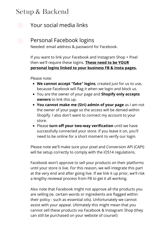#### Your social media links

#### Personal Facebook logins

Needed: email address & password for Facebook.

If you want to link your Facebook and Instagram Shop + Pixel then we'll require these logins. **These need to be YOUR personal logins linked to your business FB & Insta pages.**

Please note:

- **We cannot accept "fake" logins**, created just for us to use, because Facebook will flag it when we login and block us.
- You are the owner of your page and **Shopify only accepts owners** to link this up.
- **You cannot make me (Siri) admin of your page** as I am not the owner of your page so the access will be denied within Shopify. I also don't want to connect my account to your store.
- Please **turn off your two-way verification** until we have successfully connected your store. If you leave it on, you'll need to be online for a short moment to verify our login.

Please note we'll make sure your pixel and Conversion API (CAPI) will be setup correctly to comply with the iOS14 regulations.

Facebook won't approve to sell your products on their platforms until your store is live. For this reason, we will integrate this part at the very end and after going live. If we link it up prior, we'll risk a lengthy reviewal process from FB to get it all working.

Also note that Facebook might not approve all the products you are selling (ie. certain words or ingredients are flagged within their policy - such as essential oils). Unfortunately we cannot assist with your appeal. Ultimately this might mean that you cannot sell these products via Facebook & Instagram Shop (they can still be purchased on your website of course!)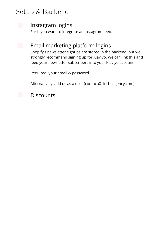

#### Instagram logins

For if you want to integrate an Instagram feed.



#### Email marketing platform logins

Shopify's newsletter signups are stored in the backend, but we strongly recommend signing up for [Klaviyo.](https://www.klaviyo.com/partner/signup?utm_source=0010V00002OetPf&utm_medium=partner) We can link this and feed your newsletter subscribers into your Klaviyo account.

Required: your email & password

Alternatively, add us as a user (contact@siritheagency.com)

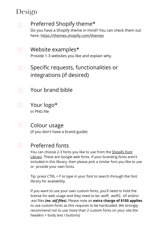## Design



#### Preferred Shopify theme\*

Do you have a Shopify theme in mind? You can check them out here[:](https://themes.shopify.com/themes) <https://themes.shopify.com/themes>

Website examples\* Provide 1-3 websites you like and explain why.

Specific requests, functionalities or integrations (if desired)

Your brand bible

Your logo\* in PNG file

Colour usage (if you don't have a brand guide)

#### Preferred fonts

You can choose 2-3 fonts you like to use from the **Shopify Font** Library. These are Google web fonts. If your [branding](https://shopify.dev/themes/architecture/settings/fonts#available-fonts%C2%A0) fonts aren't included in this library, then please pick a similar font you like to use or provide your own fonts.

Tip: press CTRL + F to type in your font to search through the font library for availability.

If you want to use your own custom fonts, you'll need to hold the license for web usage and they need to be .woff, .woff2, .ttf and/or .eot files *(no .otf files)*. Please note an **extra charge of \$150 applies** to use custom fonts as this requires to be hardcoded. We strongly recommend not to use more than 2 custom fonts on your site (for headers + body text / buttons)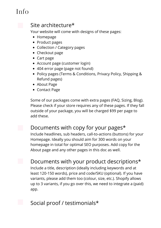## Info



#### Site architecture\*

Your website will come with designs of these pages:

- Homepage
- Product pages
- Collection / Category pages
- Checkout page
- Cart page
- Account page (customer login)
- 404 error page (page not found)
- Policy pages (Terms & Conditions, Privacy Policy, Shipping & Refund pages)
- About Page
- Contact Page

Some of our packages come with extra pages (FAQ, Sizing, Blog). Please check if your store requires any of these pages. If they fall outside of your package, you will be charged \$99 per page to add these.

#### Documents with copy for your pages\*

Include headlines, sub headers, call-to-actions (buttons) for your Homepage. Ideally you should aim for 300 words on your homepage in total for optimal SEO purposes. Add copy for the About page and any other pages in this doc as well.

Documents with your product descriptions\*

Include a title, description (ideally including keywords and at least 120-150 words), price and code/SKU (optional). If you have variants, please add them too (colour, size, etc.). Shopify allows up to 3 variants, if you go over this, we need to integrate a (paid) app.

#### Social proof / testimonials\*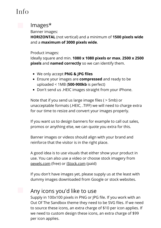## Info



#### Images\*

Banner images:

**HORIZONTAL** (not vertical) and a minimum of **1500 pixels wide** and a **maximum of 3000 pixels wide**.

Product images:

Ideally square and min. **1080 x 1080 pixels or max. 2500 x 2500 pixels** and **named correctly** so we can identify them.

- We only accept **PNG & JPG files**
- Ensure your images are **compressed** and ready to be uploaded < 1MB (**500-900kb** is perfect)
- Don't send us .HEIC images straight from your iPhone.

Note that if you send us large image files ( > 5mb) or unacceptable formats (.HEIC, .TIFF) we will need to charge extra for our time to resize and convert your images properly.

If you want us to design banners for example to call out sales, promos or anything else, we can quote you extra for this.

Banner images or videos should align with your brand and reinforce that the visitor is in the right place.

A good idea is to use visuals that either show your product in use. You can also use a video or choose stock imagery from [pexels.com](https://www.pexels.com/) (free) or [iStock.com](https://www.istockphoto.com/) (paid)

If you don't have images yet, please supply us at the least with dummy images downloaded from Google or stock websites.

#### Any icons you'd like to use

Supply in 100x100 pixels in PNG or JPG file. If you work with an Out Of The Sandbox theme they need to be SVG files. If we need to source these icons, an extra charge of \$10 per icon applies. If we need to custom design these icons, an extra charge of \$99 per icon applies.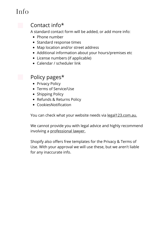## Info



#### Contact info\*

A standard contact form will be added, or add more info:

- Phone number
- Standard response times
- Map location and/or street address
- Additional information about your hours/premises etc
- License numbers (if applicable)
- Calendar / scheduler link

#### **Policy pages\***

- Privacy Policy
- Terms of Service/Use
- Shipping Policy
- Refunds & Returns Policy
- CookiesNotification

You can check what your website needs via [legal123.com.au](http://legal123.com.au/).

We cannot provide you with legal advice and highly recommend involving [a](https://mumlawyer.com.au/) [professional](https://mumlawyer.com.au/) lawyer.

Shopify also offers free templates for the Privacy & Terms of Use. With your approval we will use these, but we aren't liable for any inaccurate info.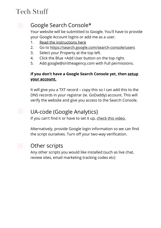## Tech Stuff



#### Google Search Console\*

Your website will be submitted to Google. You'll have to provide your Google Account logins or add me as a user.

- 1. Read the [instructions](https://support.google.com/webmasters/answer/7687615?hl=en) here
- 2. Go to <https://search.google.com/search-console/users>
- 3. Select your Property at the top left.
- 4. Click the Blue +Add User button on the top right.
- 5. Add google@siritheagency.com with Full permissions.

#### **If you don't have a Google Search Console yet, then setup your [account.](https://search.google.com/search-console/welcome?utm_source=about-page)**

It will give you a TXT record – copy this so I can add this to the DNS records in your registrar (ie. GoDaddy) account. This will verify the website and give you access to the Search Console.

#### UA-code (Google Analytics)

If you can't find it or have to set it up, check this [video.](https://youtu.be/9yc0T4tR4gg?t=77)

Alternatively, provide Google login information so we can find the script ourselves. Turn off your two-way verification.

#### Other scripts

Any other scripts you would like installed (such as live chat, review sites, email marketing tracking codes etc)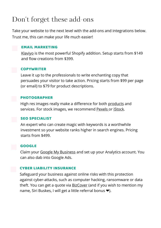## Don 't forget these add-ons

Take your website to the next level with the add-ons and integrations below. Trust me, this can make your life much easier!



[Klaviyo](https://www.klaviyo.com/partner/signup?utm_source=0010V00002OetPf&utm_medium=partner) is the most powerful Shopify addition. Setup starts from \$149 and flow creations from \$399.

#### COPYWRITER

Leave it up to the professionals to write enchanting copy that persuades your visitor to take action. Pricing starts from \$99 per page (or email) to \$79 for product descriptions.

#### PHOTOGRAPHER

High res images really make a difference for both [products](https://www.traceyahkee.com/) and services. For stock images, we recommend [Pexels](https://www.pexels.com/) or [iStock](https://www.istockphoto.com/).

#### SEO SPECIALIST

An expert who can create magic with keywords is a worthwhile investment so your website ranks higher in search engines. Pricing starts from \$499.

#### GOOGLE

Claim your Google My [Business](https://www.google.com/intl/en_au/business/) and set up your Analytics account. You can also dab into Google Ads.

#### CYBER LIABILITY INSURANCE

Safeguard your business against online risks with this protection against cyber-attacks, such as computer hacking, ransomware or data theft. You can get a quote via **[BizCover](https://www.bizcover.com.au/)** (and if you wish to mention my name, Siri Buskes, I will get a little referral bonus ❤️).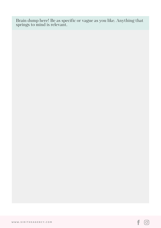Brain dump here! Be as specific or vague as you like. Anything that springs to mind is relevant.

f

 $\odot$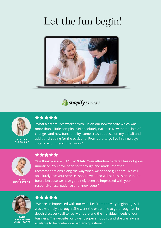## Let the fun begin!



#### **S** shopify partner



**SIMONE** GLOSS & CO



"What a dream! I've worked with Siri on our new website which was more than a little complex. Siri absolutely nailed it! New theme, lots of changes and new functionality, some crazy requests on my behalf and additional coding for the back end. From zero to go live in three days. Totally recommend. Thankyou!"



LYDIA GIMME STORE



"We think you are SUPERWOMAN. Your attention to detail has not gone unnoticed. You have been so thorough and made informed recommendations along the way when we needed guidance. We will absolutely use your services should we need website assistance in the future because we have genuinely been so impressed with your responsiveness, patience and knowledge."



DANA CLEAR MINDS WILD HEARTS



"We are so impressed with our website! From the very beginning, Siri was extremely thorough. She went the extra mile to go through an in depth discovery call to really understand the individual needs of our business. The website build went super smoothly and she was always available to help when we had any questions."